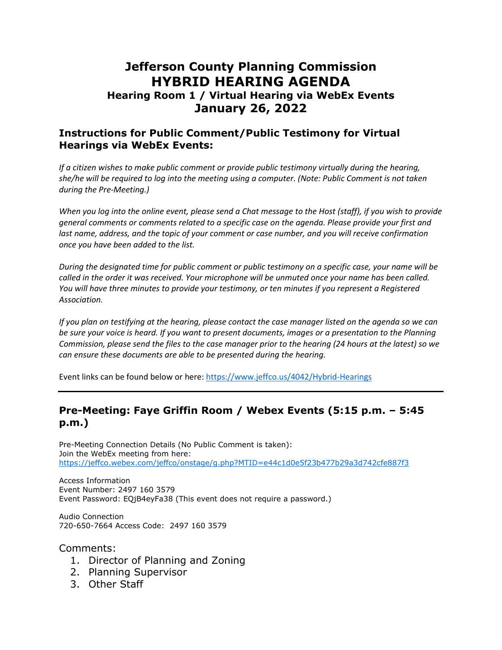# **Jefferson County Planning Commission HYBRID HEARING AGENDA**

## **Hearing Room 1 / Virtual Hearing via WebEx Events January 26, 2022**

#### **Instructions for Public Comment/Public Testimony for Virtual Hearings via WebEx Events:**

*If a citizen wishes to make public comment or provide public testimony virtually during the hearing, she/he will be required to log into the meeting using a computer. (Note: Public Comment is not taken during the Pre-Meeting.)*

*When you log into the online event, please send a Chat message to the Host (staff), if you wish to provide general comments or comments related to a specific case on the agenda. Please provide your first and*  last name, address, and the topic of your comment or case number, and you will receive confirmation *once you have been added to the list.*

*During the designated time for public comment or public testimony on a specific case, your name will be called in the order it was received. Your microphone will be unmuted once your name has been called. You will have three minutes to provide your testimony, or ten minutes if you represent a Registered Association.*

*If you plan on testifying at the hearing, please contact the case manager listed on the agenda so we can be sure your voice is heard. If you want to present documents, images or a presentation to the Planning Commission, please send the files to the case manager prior to the hearing (24 hours at the latest) so we can ensure these documents are able to be presented during the hearing.*

Event links can be found below or here:<https://www.jeffco.us/4042/Hybrid-Hearings>

#### **Pre-Meeting: Faye Griffin Room / Webex Events (5:15 p.m. – 5:45 p.m.)**

Pre-Meeting Connection Details (No Public Comment is taken): Join the WebEx meeting from here: <https://jeffco.webex.com/jeffco/onstage/g.php?MTID=e44c1d0e5f23b477b29a3d742cfe887f3>

Access Information Event Number: 2497 160 3579 Event Password: EQjB4eyFa38 (This event does not require a password.)

Audio Connection 720-650-7664 Access Code: 2497 160 3579

#### Comments:

- 1. Director of Planning and Zoning
- 2. Planning Supervisor
- 3. Other Staff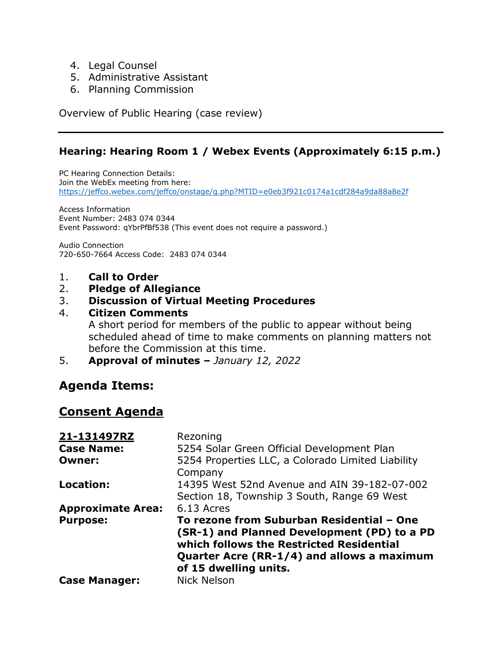- 4. Legal Counsel
- 5. Administrative Assistant
- 6. Planning Commission

Overview of Public Hearing (case review)

## **Hearing: Hearing Room 1 / Webex Events (Approximately 6:15 p.m.)**

PC Hearing Connection Details: Join the WebEx meeting from here: <https://jeffco.webex.com/jeffco/onstage/g.php?MTID=e0eb3f921c0174a1cdf284a9da88a8e2f>

Access Information Event Number: 2483 074 0344 Event Password: qYbrPfBf538 (This event does not require a password.)

Audio Connection 720-650-7664 Access Code: 2483 074 0344

- 1. **Call to Order**
- 2. **Pledge of Allegiance**

#### 3. **Discussion of Virtual Meeting Procedures**

#### 4. **Citizen Comments**

A short period for members of the public to appear without being scheduled ahead of time to make comments on planning matters not before the Commission at this time.

5. **Approval of minutes** *– January 12, 2022*

# **Agenda Items:**

# **Consent Agenda**

| 21-131497RZ              | Rezoning                                                                                                                                                                                                    |
|--------------------------|-------------------------------------------------------------------------------------------------------------------------------------------------------------------------------------------------------------|
| <b>Case Name:</b>        | 5254 Solar Green Official Development Plan                                                                                                                                                                  |
| <b>Owner:</b>            | 5254 Properties LLC, a Colorado Limited Liability<br>Company                                                                                                                                                |
| Location:                | 14395 West 52nd Avenue and AIN 39-182-07-002<br>Section 18, Township 3 South, Range 69 West                                                                                                                 |
| <b>Approximate Area:</b> | 6.13 Acres                                                                                                                                                                                                  |
| <b>Purpose:</b>          | To rezone from Suburban Residential - One<br>(SR-1) and Planned Development (PD) to a PD<br>which follows the Restricted Residential<br>Quarter Acre (RR-1/4) and allows a maximum<br>of 15 dwelling units. |
| <b>Case Manager:</b>     | <b>Nick Nelson</b>                                                                                                                                                                                          |